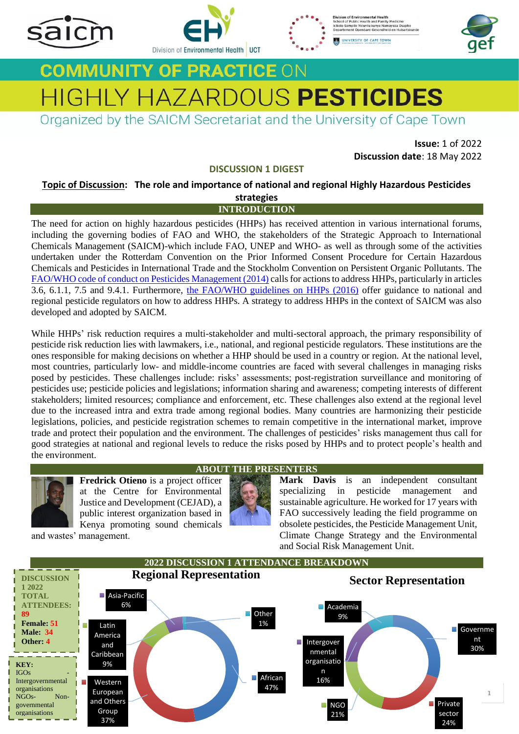







# **COMMUNITY OF PRACTICE ON HIGHLY HAZARDOUS PESTICIDES**

Organized by the SAICM Secretariat and the University of Cape Town

**Issue:** 1 of 2022 **Discussion date**: 18 May 2022

# **DISCUSSION 1 DIGEST**

**Topic of Discussion: The role and importance of national and regional Highly Hazardous Pesticides strategies**

# **INTRODUCTION**

The need for action on highly hazardous pesticides (HHPs) has received attention in various international forums, including the governing bodies of FAO and WHO, the stakeholders of the Strategic Approach to International Chemicals Management (SAICM)-which include FAO, UNEP and WHO- as well as through some of the activities undertaken under the Rotterdam Convention on the Prior Informed Consent Procedure for Certain Hazardous Chemicals and Pesticides in International Trade and the Stockholm Convention on Persistent Organic Pollutants. The [FAO/WHO code of conduct on Pesticides Management \(2014\)](https://www.fao.org/documents/card/en/c/I3604C/) calls for actions to address HHPs, particularly in articles 3.6, 6.1.1, 7.5 and 9.4.1. Furthermore, the [FAO/WHO guidelines on HHPs](https://www.fao.org/publications/card/en/c/a5347a39-c961-41bf-86a4-975cdf2fd063/) (2016) offer guidance to national and regional pesticide regulators on how to address HHPs. A strategy to address HHPs in the context of SAICM was also developed and adopted by SAICM.

While HHPs' risk reduction requires a multi-stakeholder and multi-sectoral approach, the primary responsibility of pesticide risk reduction lies with lawmakers, i.e., national, and regional pesticide regulators. These institutions are the ones responsible for making decisions on whether a HHP should be used in a country or region. At the national level, most countries, particularly low- and middle-income countries are faced with several challenges in managing risks posed by pesticides. These challenges include: risks' assessments; post-registration surveillance and monitoring of pesticides use; pesticide policies and legislations; information sharing and awareness; competing interests of different stakeholders; limited resources; compliance and enforcement, etc. These challenges also extend at the regional level due to the increased intra and extra trade among regional bodies. Many countries are harmonizing their pesticide legislations, policies, and pesticide registration schemes to remain competitive in the international market, improve trade and protect their population and the environment. The challenges of pesticides' risks management thus call for good strategies at national and regional levels to reduce the risks posed by HHPs and to protect people's health and the environment.



**Fredrick Otieno** is a project officer at the Centre for Environmental Justice and Development (CEJAD), a public interest organization based in Kenya promoting sound chemicals

and wastes' management.

# **ABOUT THE PRESENTERS**

**Mark Davis** is an independent consultant specializing in pesticide management and sustainable agriculture. He worked for 17 years with FAO successively leading the field programme on obsolete pesticides, the Pesticide Management Unit, Climate Change Strategy and the Environmental and Social Risk Management Unit.

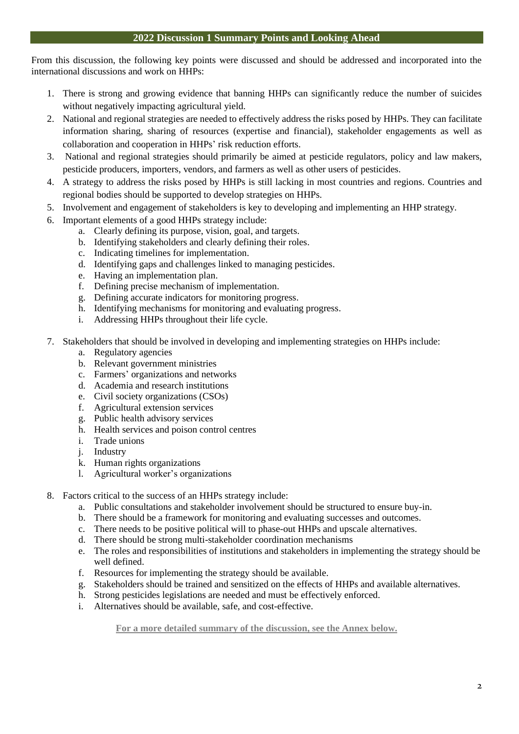From this discussion, the following key points were discussed and should be addressed and incorporated into the international discussions and work on HHPs:

- 1. There is strong and growing evidence that banning HHPs can significantly reduce the number of suicides without negatively impacting agricultural yield.
- 2. National and regional strategies are needed to effectively address the risks posed by HHPs. They can facilitate information sharing, sharing of resources (expertise and financial), stakeholder engagements as well as collaboration and cooperation in HHPs' risk reduction efforts.
- 3. National and regional strategies should primarily be aimed at pesticide regulators, policy and law makers, pesticide producers, importers, vendors, and farmers as well as other users of pesticides.
- 4. A strategy to address the risks posed by HHPs is still lacking in most countries and regions. Countries and regional bodies should be supported to develop strategies on HHPs.
- 5. Involvement and engagement of stakeholders is key to developing and implementing an HHP strategy.
- 6. Important elements of a good HHPs strategy include:
	- a. Clearly defining its purpose, vision, goal, and targets.
	- b. Identifying stakeholders and clearly defining their roles.
	- c. Indicating timelines for implementation.
	- d. Identifying gaps and challenges linked to managing pesticides.
	- e. Having an implementation plan.
	- f. Defining precise mechanism of implementation.
	- g. Defining accurate indicators for monitoring progress.
	- h. Identifying mechanisms for monitoring and evaluating progress.
	- i. Addressing HHPs throughout their life cycle.
- 7. Stakeholders that should be involved in developing and implementing strategies on HHPs include:
	- a. Regulatory agencies
	- b. Relevant government ministries
	- c. Farmers' organizations and networks
	- d. Academia and research institutions
	- e. Civil society organizations (CSOs)
	- f. Agricultural extension services
	- g. Public health advisory services
	- h. Health services and poison control centres
	- i. Trade unions
	- j. Industry
	- k. Human rights organizations
	- l. Agricultural worker's organizations
- 8. Factors critical to the success of an HHPs strategy include:
	- a. Public consultations and stakeholder involvement should be structured to ensure buy-in.
	- b. There should be a framework for monitoring and evaluating successes and outcomes.
	- c. There needs to be positive political will to phase-out HHPs and upscale alternatives.
	- d. There should be strong multi-stakeholder coordination mechanisms
	- e. The roles and responsibilities of institutions and stakeholders in implementing the strategy should be well defined.
	- f. Resources for implementing the strategy should be available.
	- g. Stakeholders should be trained and sensitized on the effects of HHPs and available alternatives.
	- h. Strong pesticides legislations are needed and must be effectively enforced.
	- i. Alternatives should be available, safe, and cost-effective.

**For a more detailed summary of the discussion, see the Annex below.**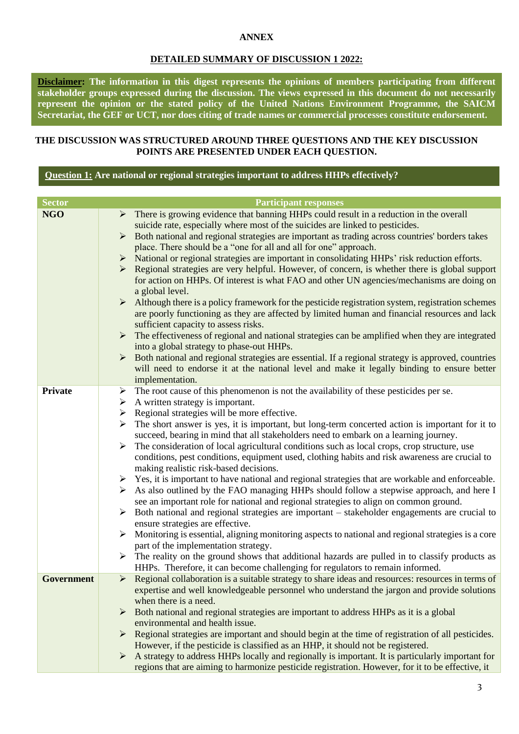# **ANNEX**

# **DETAILED SUMMARY OF DISCUSSION 1 2022:**

**Disclaimer: The information in this digest represents the opinions of members participating from different stakeholder groups expressed during the discussion. The views expressed in this document do not necessarily represent the opinion or the stated policy of the United Nations Environment Programme, the SAICM Secretariat, the GEF or UCT, nor does citing of trade names or commercial processes constitute endorsement.**

# **THE DISCUSSION WAS STRUCTURED AROUND THREE QUESTIONS AND THE KEY DISCUSSION POINTS ARE PRESENTED UNDER EACH QUESTION.**

# **Question 1: Are national or regional strategies important to address HHPs effectively?**

| <b>Sector</b>     | <b>Participant responses</b>                                                                                                                                                                                                                                                                                                                                                                                                                                                                                                                                                                                                                                                                                                                                                                                                                                                                                                                                                                                                                                                                                                                                                                                                                                                                                                                                                                                                                                              |
|-------------------|---------------------------------------------------------------------------------------------------------------------------------------------------------------------------------------------------------------------------------------------------------------------------------------------------------------------------------------------------------------------------------------------------------------------------------------------------------------------------------------------------------------------------------------------------------------------------------------------------------------------------------------------------------------------------------------------------------------------------------------------------------------------------------------------------------------------------------------------------------------------------------------------------------------------------------------------------------------------------------------------------------------------------------------------------------------------------------------------------------------------------------------------------------------------------------------------------------------------------------------------------------------------------------------------------------------------------------------------------------------------------------------------------------------------------------------------------------------------------|
| <b>NGO</b>        | $\triangleright$ There is growing evidence that banning HHPs could result in a reduction in the overall<br>suicide rate, especially where most of the suicides are linked to pesticides.<br>$\triangleright$ Both national and regional strategies are important as trading across countries' borders takes<br>place. There should be a "one for all and all for one" approach.<br>$\triangleright$ National or regional strategies are important in consolidating HHPs' risk reduction efforts.<br>Regional strategies are very helpful. However, of concern, is whether there is global support<br>➤<br>for action on HHPs. Of interest is what FAO and other UN agencies/mechanisms are doing on<br>a global level.<br>$\triangleright$ Although there is a policy framework for the pesticide registration system, registration schemes<br>are poorly functioning as they are affected by limited human and financial resources and lack<br>sufficient capacity to assess risks.<br>$\triangleright$ The effectiveness of regional and national strategies can be amplified when they are integrated<br>into a global strategy to phase-out HHPs.<br>Both national and regional strategies are essential. If a regional strategy is approved, countries<br>$\blacktriangleright$<br>will need to endorse it at the national level and make it legally binding to ensure better<br>implementation.                                                                     |
| Private           | $\triangleright$ The root cause of this phenomenon is not the availability of these pesticides per se.<br>$\triangleright$ A written strategy is important.<br>$\triangleright$ Regional strategies will be more effective.<br>The short answer is yes, it is important, but long-term concerted action is important for it to<br>➤<br>succeed, bearing in mind that all stakeholders need to embark on a learning journey.<br>The consideration of local agricultural conditions such as local crops, crop structure, use<br>➤<br>conditions, pest conditions, equipment used, clothing habits and risk awareness are crucial to<br>making realistic risk-based decisions.<br>> Yes, it is important to have national and regional strategies that are workable and enforceable.<br>$\triangleright$ As also outlined by the FAO managing HHPs should follow a stepwise approach, and here I<br>see an important role for national and regional strategies to align on common ground.<br>Both national and regional strategies are important - stakeholder engagements are crucial to<br>➤<br>ensure strategies are effective.<br>Monitoring is essential, aligning monitoring aspects to national and regional strategies is a core<br>➤<br>part of the implementation strategy.<br>The reality on the ground shows that additional hazards are pulled in to classify products as<br>➤<br>HHPs. Therefore, it can become challenging for regulators to remain informed. |
| <b>Government</b> | $\triangleright$ Regional collaboration is a suitable strategy to share ideas and resources: resources in terms of<br>expertise and well knowledgeable personnel who understand the jargon and provide solutions<br>when there is a need.<br>Both national and regional strategies are important to address HHPs as it is a global<br>environmental and health issue.<br>Regional strategies are important and should begin at the time of registration of all pesticides.<br>➤<br>However, if the pesticide is classified as an HHP, it should not be registered.<br>A strategy to address HHPs locally and regionally is important. It is particularly important for<br>➤<br>regions that are aiming to harmonize pesticide registration. However, for it to be effective, it                                                                                                                                                                                                                                                                                                                                                                                                                                                                                                                                                                                                                                                                                           |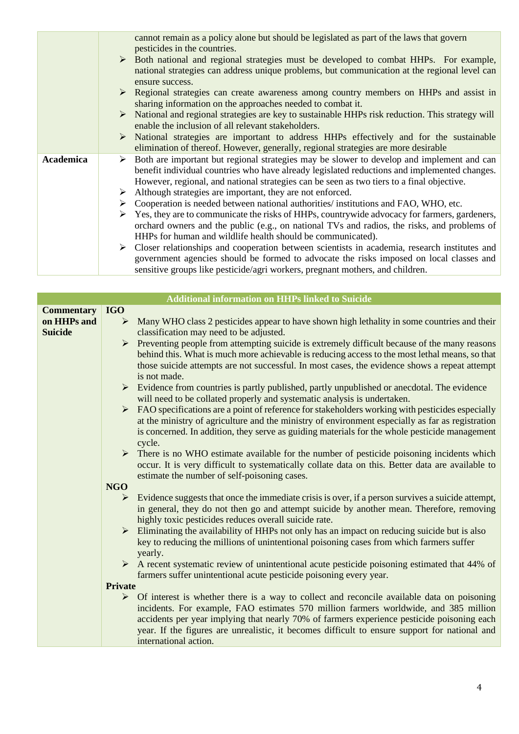|           |   | cannot remain as a policy alone but should be legislated as part of the laws that govern<br>pesticides in the countries.                                                                                                                                                                                |
|-----------|---|---------------------------------------------------------------------------------------------------------------------------------------------------------------------------------------------------------------------------------------------------------------------------------------------------------|
|           |   | > Both national and regional strategies must be developed to combat HHPs. For example,<br>national strategies can address unique problems, but communication at the regional level can                                                                                                                  |
|           |   | ensure success.                                                                                                                                                                                                                                                                                         |
|           |   | $\triangleright$ Regional strategies can create awareness among country members on HHPs and assist in<br>sharing information on the approaches needed to combat it.                                                                                                                                     |
|           |   | $\triangleright$ National and regional strategies are key to sustainable HHPs risk reduction. This strategy will<br>enable the inclusion of all relevant stakeholders.                                                                                                                                  |
|           |   | > National strategies are important to address HHPs effectively and for the sustainable<br>elimination of thereof. However, generally, regional strategies are more desirable                                                                                                                           |
| Academica |   | $\triangleright$ Both are important but regional strategies may be slower to develop and implement and can<br>benefit individual countries who have already legislated reductions and implemented changes.<br>However, regional, and national strategies can be seen as two tiers to a final objective. |
|           |   | $\triangleright$ Although strategies are important, they are not enforced.                                                                                                                                                                                                                              |
|           |   | $\triangleright$ Cooperation is needed between national authorities/ institutions and FAO, WHO, etc.                                                                                                                                                                                                    |
|           | ➤ | Yes, they are to communicate the risks of HHPs, countrywide advocacy for farmers, gardeners,<br>orchard owners and the public (e.g., on national TVs and radios, the risks, and problems of                                                                                                             |
|           |   | HHPs for human and wildlife health should be communicated).                                                                                                                                                                                                                                             |
|           |   | $\triangleright$ Closer relationships and cooperation between scientists in academia, research institutes and<br>government agencies should be formed to advocate the risks imposed on local classes and                                                                                                |
|           |   | sensitive groups like pesticide/agri workers, pregnant mothers, and children.                                                                                                                                                                                                                           |

|                               |                | <b>Additional information on HHPs linked to Suicide</b>                                                                                                                                                                                                                                                                                                                                                                     |
|-------------------------------|----------------|-----------------------------------------------------------------------------------------------------------------------------------------------------------------------------------------------------------------------------------------------------------------------------------------------------------------------------------------------------------------------------------------------------------------------------|
| <b>Commentary</b>             | <b>IGO</b>     |                                                                                                                                                                                                                                                                                                                                                                                                                             |
| on HHPs and<br><b>Suicide</b> | ➤              | Many WHO class 2 pesticides appear to have shown high lethality in some countries and their<br>classification may need to be adjusted.                                                                                                                                                                                                                                                                                      |
|                               |                | $\triangleright$ Preventing people from attempting suicide is extremely difficult because of the many reasons<br>behind this. What is much more achievable is reducing access to the most lethal means, so that<br>those suicide attempts are not successful. In most cases, the evidence shows a repeat attempt<br>is not made.                                                                                            |
|                               |                | $\triangleright$ Evidence from countries is partly published, partly unpublished or anecdotal. The evidence<br>will need to be collated properly and systematic analysis is undertaken.                                                                                                                                                                                                                                     |
|                               |                | $\triangleright$ FAO specifications are a point of reference for stakeholders working with pesticides especially<br>at the ministry of agriculture and the ministry of environment especially as far as registration<br>is concerned. In addition, they serve as guiding materials for the whole pesticide management<br>cycle.                                                                                             |
|                               |                | $\triangleright$ There is no WHO estimate available for the number of pesticide poisoning incidents which<br>occur. It is very difficult to systematically collate data on this. Better data are available to<br>estimate the number of self-poisoning cases.                                                                                                                                                               |
|                               | <b>NGO</b>     |                                                                                                                                                                                                                                                                                                                                                                                                                             |
|                               | ➤              | Evidence suggests that once the immediate crisis is over, if a person survives a suicide attempt,<br>in general, they do not then go and attempt suicide by another mean. Therefore, removing<br>highly toxic pesticides reduces overall suicide rate.                                                                                                                                                                      |
|                               |                | $\triangleright$ Eliminating the availability of HHPs not only has an impact on reducing suicide but is also<br>key to reducing the millions of unintentional poisoning cases from which farmers suffer<br>yearly.                                                                                                                                                                                                          |
|                               |                | $\triangleright$ A recent systematic review of unintentional acute pesticide poisoning estimated that 44% of<br>farmers suffer unintentional acute pesticide poisoning every year.                                                                                                                                                                                                                                          |
|                               | <b>Private</b> |                                                                                                                                                                                                                                                                                                                                                                                                                             |
|                               |                | $\triangleright$ Of interest is whether there is a way to collect and reconcile available data on poisoning<br>incidents. For example, FAO estimates 570 million farmers worldwide, and 385 million<br>accidents per year implying that nearly 70% of farmers experience pesticide poisoning each<br>year. If the figures are unrealistic, it becomes difficult to ensure support for national and<br>international action. |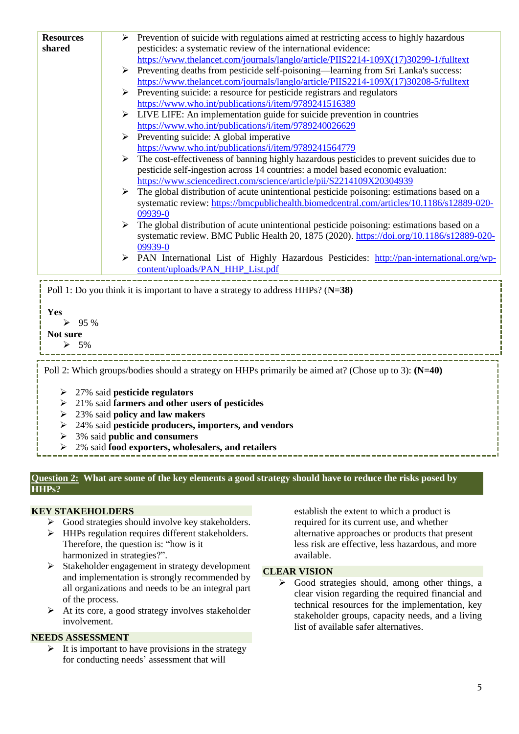| <b>Resources</b><br>shared                                                                                                                                                              | Prevention of suicide with regulations aimed at restricting access to highly hazardous<br>➤<br>pesticides: a systematic review of the international evidence:<br>https://www.thelancet.com/journals/langlo/article/PIIS2214-109X(17)30299-1/fulltext<br>Preventing deaths from pesticide self-poisoning—learning from Sri Lanka's success:<br>➤<br>https://www.thelancet.com/journals/langlo/article/PIIS2214-109X(17)30208-5/fulltext<br>Preventing suicide: a resource for pesticide registrars and regulators<br>https://www.who.int/publications/i/item/9789241516389<br>LIVE LIFE: An implementation guide for suicide prevention in countries<br>https://www.who.int/publications/i/item/9789240026629<br>Preventing suicide: A global imperative<br>➤<br>https://www.who.int/publications/i/item/9789241564779<br>The cost-effectiveness of banning highly hazardous pesticides to prevent suicides due to<br>➤<br>pesticide self-ingestion across 14 countries: a model based economic evaluation:<br>https://www.sciencedirect.com/science/article/pii/S2214109X20304939<br>The global distribution of acute unintentional pesticide poisoning: estimations based on a<br>➤<br>systematic review: https://bmcpublichealth.biomedcentral.com/articles/10.1186/s12889-020-<br>09939-0<br>The global distribution of acute unintentional pesticide poisoning: estimations based on a<br>➤<br>systematic review. BMC Public Health 20, 1875 (2020). https://doi.org/10.1186/s12889-020-<br>09939-0<br>PAN International List of Highly Hazardous Pesticides: http://pan-international.org/wp-<br>➤<br>content/uploads/PAN_HHP_List.pdf |  |
|-----------------------------------------------------------------------------------------------------------------------------------------------------------------------------------------|---------------------------------------------------------------------------------------------------------------------------------------------------------------------------------------------------------------------------------------------------------------------------------------------------------------------------------------------------------------------------------------------------------------------------------------------------------------------------------------------------------------------------------------------------------------------------------------------------------------------------------------------------------------------------------------------------------------------------------------------------------------------------------------------------------------------------------------------------------------------------------------------------------------------------------------------------------------------------------------------------------------------------------------------------------------------------------------------------------------------------------------------------------------------------------------------------------------------------------------------------------------------------------------------------------------------------------------------------------------------------------------------------------------------------------------------------------------------------------------------------------------------------------------------------------------------------------------------------------------------------------------------|--|
| Yes<br>95 %<br>Not sure<br>$\triangleright$ 5%                                                                                                                                          | Poll 1: Do you think it is important to have a strategy to address $HHPs? (N=38)$                                                                                                                                                                                                                                                                                                                                                                                                                                                                                                                                                                                                                                                                                                                                                                                                                                                                                                                                                                                                                                                                                                                                                                                                                                                                                                                                                                                                                                                                                                                                                           |  |
| Poll 2: Which groups/bodies should a strategy on HHPs primarily be aimed at? (Chose up to 3): (N=40)<br>27% said pesticide regulators<br>21% said farmers and other users of pesticides |                                                                                                                                                                                                                                                                                                                                                                                                                                                                                                                                                                                                                                                                                                                                                                                                                                                                                                                                                                                                                                                                                                                                                                                                                                                                                                                                                                                                                                                                                                                                                                                                                                             |  |

- ➢ 23% said **policy and law makers**
- ➢ 24% said **pesticide producers, importers, and vendors**
- ➢ 3% said **public and consumers**
- ➢ 2% said **food exporters, wholesalers, and retailers**

#### **Question 2: What are some of the key elements a good strategy should have to reduce the risks posed by HHPs?**

## **KEY STAKEHOLDERS**

- ➢ Good strategies should involve key stakeholders.
- ➢ HHPs regulation requires different stakeholders. Therefore, the question is: "how is it harmonized in strategies?".
- ➢ Stakeholder engagement in strategy development and implementation is strongly recommended by all organizations and needs to be an integral part of the process.
- $\triangleright$  At its core, a good strategy involves stakeholder involvement.

## **NEEDS ASSESSMENT**

 $\triangleright$  It is important to have provisions in the strategy for conducting needs' assessment that will

establish the extent to which a product is required for its current use, and whether alternative approaches or products that present less risk are effective, less hazardous, and more available.

# **CLEAR VISION**

➢ Good strategies should, among other things, a clear vision regarding the required financial and technical resources for the implementation, key stakeholder groups, capacity needs, and a living list of available safer alternatives.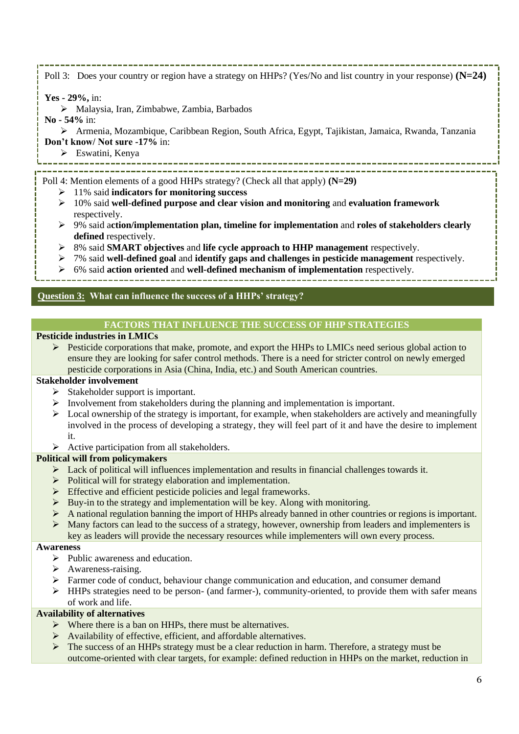Poll 3: Does your country or region have a strategy on HHPs? (Yes/No and list country in your response) **(N=24)**

**Yes - 29%,** in:

- ➢ Malaysia, Iran, Zimbabwe, Zambia, Barbados
- **No - 54%** in:

➢ Armenia, Mozambique, Caribbean Region, South Africa, Egypt, Tajikistan, Jamaica, Rwanda, Tanzania **Don't know/ Not sure -17%** in:

➢ Eswatini, Kenya

- Poll 4: Mention elements of a good HHPs strategy? (Check all that apply) **(N=29)**
	- ➢ 11% said **indicators for monitoring success**
	- ➢ 10% said **well-defined purpose and clear vision and monitoring** and **evaluation framework**  respectively.
	- ➢ 9% said a**ction/implementation plan, timeline for implementation** and **roles of stakeholders clearly**  defined respectively.
	- ➢ 8% said **SMART objectives** and **life cycle approach to HHP management** respectively.
	- ➢ 7% said **well-defined goal** and **identify gaps and challenges in pesticide management** respectively.
	- ➢ 6% said **action oriented** and **well-defined mechanism of implementation** respectively.

# **Question 3: What can influence the success of a HHPs' strategy?**

## **FACTORS THAT INFLUENCE THE SUCCESS OF HHP STRATEGIES**

## **Pesticide industries in LMICs**

 $\triangleright$  Pesticide corporations that make, promote, and export the HHPs to LMICs need serious global action to ensure they are looking for safer control methods. There is a need for stricter control on newly emerged pesticide corporations in Asia (China, India, etc.) and South American countries.

# **Stakeholder involvement**

- $\triangleright$  Stakeholder support is important.
- $\triangleright$  Involvement from stakeholders during the planning and implementation is important.
- $\triangleright$  Local ownership of the strategy is important, for example, when stakeholders are actively and meaningfully involved in the process of developing a strategy, they will feel part of it and have the desire to implement it.
- $\triangleright$  Active participation from all stakeholders.

## **Political will from policymakers**

- $\triangleright$  Lack of political will influences implementation and results in financial challenges towards it.
- ➢ Political will for strategy elaboration and implementation.
- ➢ Effective and efficient pesticide policies and legal frameworks.
- $\triangleright$  Buy-in to the strategy and implementation will be key. Along with monitoring.
- $\triangleright$  A national regulation banning the import of HHPs already banned in other countries or regions is important.
- ➢ Many factors can lead to the success of a strategy, however, ownership from leaders and implementers is key as leaders will provide the necessary resources while implementers will own every process.

## **Awareness**

- ➢ Public awareness and education.
- ➢ Awareness-raising.
- ➢ Farmer code of conduct, behaviour change communication and education, and consumer demand
- $\triangleright$  HHPs strategies need to be person- (and farmer-), community-oriented, to provide them with safer means of work and life.

## **Availability of alternatives**

- $\triangleright$  Where there is a ban on HHPs, there must be alternatives.
- ➢ Availability of effective, efficient, and affordable alternatives.
- $\triangleright$  The success of an HHPs strategy must be a clear reduction in harm. Therefore, a strategy must be outcome-oriented with clear targets, for example: defined reduction in HHPs on the market, reduction in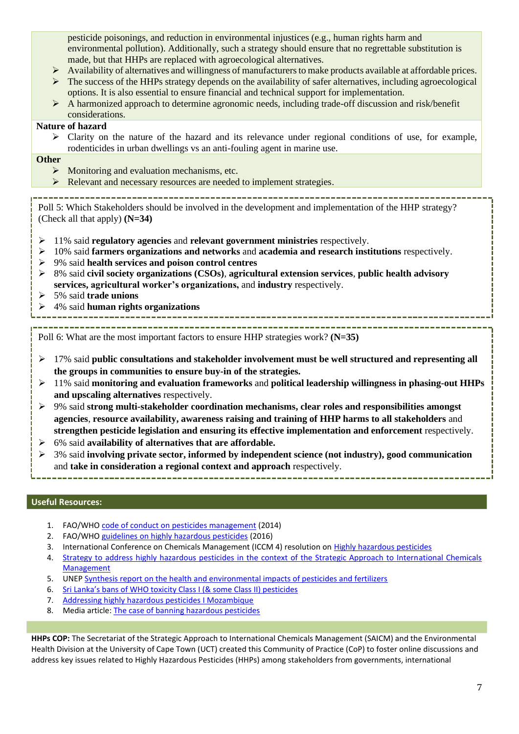pesticide poisonings, and reduction in environmental injustices (e.g., human rights harm and environmental pollution). Additionally, such a strategy should ensure that no regrettable substitution is made, but that HHPs are replaced with agroecological alternatives.

- $\triangleright$  Availability of alternatives and willingness of manufacturers to make products available at affordable prices.
- $\triangleright$  The success of the HHPs strategy depends on the availability of safer alternatives, including agroecological options. It is also essential to ensure financial and technical support for implementation.
- ➢ A harmonized approach to determine agronomic needs, including trade-off discussion and risk/benefit considerations.

# **Nature of hazard**

➢ Clarity on the nature of the hazard and its relevance under regional conditions of use, for example, rodenticides in urban dwellings vs an anti-fouling agent in marine use.

# **Other**

- ➢ Monitoring and evaluation mechanisms, etc.
- ➢ Relevant and necessary resources are needed to implement strategies.

Poll 5: Which Stakeholders should be involved in the development and implementation of the HHP strategy? (Check all that apply) **(N=34)**

- ➢ 11% said **regulatory agencies** and **relevant government ministries** respectively.
- ➢ 10% said **farmers organizations and networks** and **academia and research institutions** respectively.
- ➢ 9% said **health services and poison control centres**
- ➢ 8% said **civil society organizations (CSOs)**, **agricultural extension services**, **public health advisory services, agricultural worker's organizations,** and **industry** respectively.
- ➢ 5% said **trade unions**
- ➢ 4% said **human rights organizations**

Poll 6: What are the most important factors to ensure HHP strategies work? **(N=35)**

- ➢ 17% said **public consultations and stakeholder involvement must be well structured and representing all the groups in communities to ensure buy-in of the strategies.**
- ➢ 11% said **monitoring and evaluation frameworks** and **political leadership willingness in phasing-out HHPs and upscaling alternatives** respectively.
- ➢ 9% said **strong multi-stakeholder coordination mechanisms, clear roles and responsibilities amongst agencies**, **resource availability, awareness raising and training of HHP harms to all stakeholders** and **strengthen pesticide legislation and ensuring its effective implementation and enforcement** respectively.
- ➢ 6% said **availability of alternatives that are affordable.**
- ➢ 3% said **involving private sector, informed by independent science (not industry), good communication** and **take in consideration a regional context and approach** respectively.

## **Useful Resources:**

- 1. FAO/WHO [code of conduct on pesticides management](https://www.fao.org/documents/card/en/c/I3604C/) (2014)
- 2. FAO/WHO [guidelines on highly hazardous pesticides](https://www.fao.org/publications/card/en/c/a5347a39-c961-41bf-86a4-975cdf2fd063/) (2016)
- 3. International Conference on Chemicals Management (ICCM 4) resolution on [Highly hazardous pesticides](https://saicmknowledge.org/program/highly-hazardous-pesticides)
- 4. Strategy to address highly hazardous pesticides in the context of the Strategic Approach to International Chemicals **[Management](http://www.saicm.org/Portals/12/Documents/EPI/HHP%20strategy%20English.pdf)**
- 5. UNEP [Synthesis report on the health and environmental impacts of pesticides and fertilizers](https://wedocs.unep.org/handle/20.500.11822/38409;jsessionid=3FD5DF51C7191F423C9D78B12F547A3B)
- 6. [Sri Lanka's bans of WHO toxicity Class I \(& some Class II\) pesticides](https://cdn.cseindia.org/userfiles/Ayanthi-Karunarathne.pdf)
- 7. [Addressing highly hazardous pesticides I Mozambique](https://www.fao.org/3/i5360e/i5360e.pdf)
- 8. Media article[: The case of banning hazardous pesticides](https://www.borgenmagazine.com/highly-hazardous-pesticides/)

**HHPs COP:** The Secretariat of the Strategic Approach to International Chemicals Management (SAICM) and the Environmental Health Division at the University of Cape Town (UCT) created this Community of Practice (CoP) to foster online discussions and address key issues related to Highly Hazardous Pesticides (HHPs) among stakeholders from governments, international